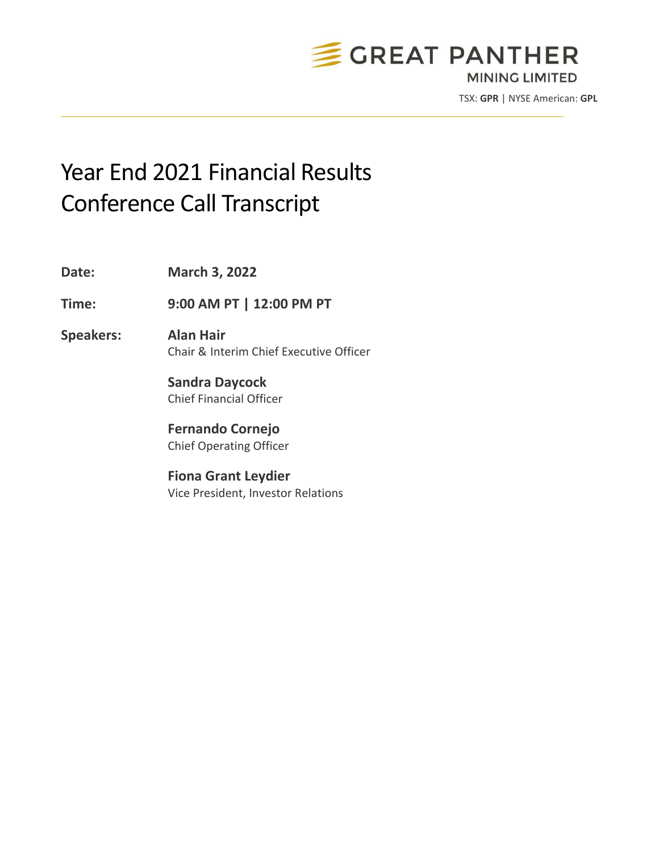

TSX: **GPR** | NYSE American: **GPL**

# Year End 2021 Financial Results Conference Call Transcript

**Date: March 3, 2022**

**Time: 9:00 AM PT | 12:00 PM PT**

**Speakers: Alan Hair** Chair & Interim Chief Executive Officer

> **Sandra Daycock** Chief Financial Officer

**Fernando Cornejo** Chief Operating Officer

**Fiona Grant Leydier** Vice President, Investor Relations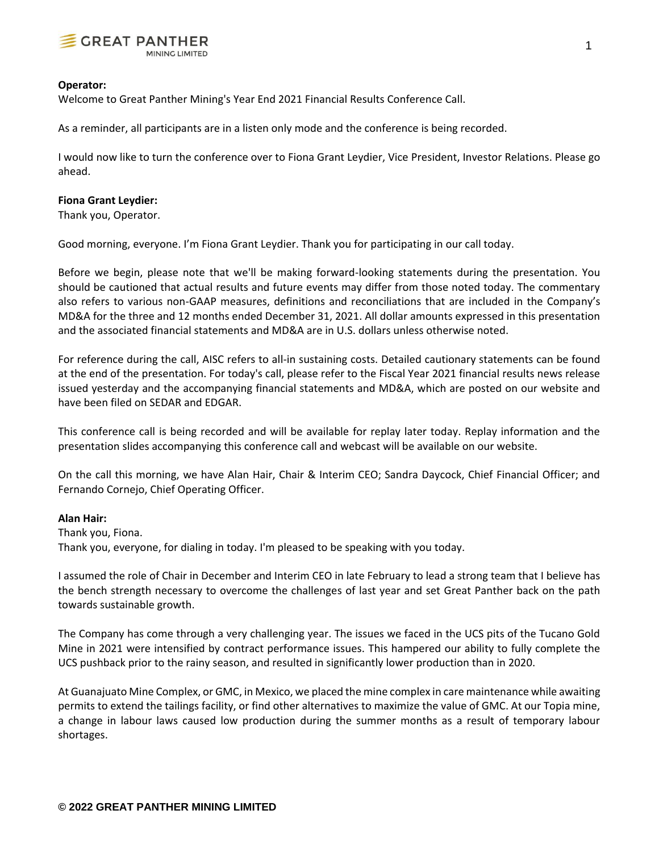

## **Operator:**

Welcome to Great Panther Mining's Year End 2021 Financial Results Conference Call.

As a reminder, all participants are in a listen only mode and the conference is being recorded.

I would now like to turn the conference over to Fiona Grant Leydier, Vice President, Investor Relations. Please go ahead.

## **Fiona Grant Leydier:**

Thank you, Operator.

Good morning, everyone. I'm Fiona Grant Leydier. Thank you for participating in our call today.

Before we begin, please note that we'll be making forward-looking statements during the presentation. You should be cautioned that actual results and future events may differ from those noted today. The commentary also refers to various non-GAAP measures, definitions and reconciliations that are included in the Company's MD&A for the three and 12 months ended December 31, 2021. All dollar amounts expressed in this presentation and the associated financial statements and MD&A are in U.S. dollars unless otherwise noted.

For reference during the call, AISC refers to all-in sustaining costs. Detailed cautionary statements can be found at the end of the presentation. For today's call, please refer to the Fiscal Year 2021 financial results news release issued yesterday and the accompanying financial statements and MD&A, which are posted on our website and have been filed on SEDAR and EDGAR.

This conference call is being recorded and will be available for replay later today. Replay information and the presentation slides accompanying this conference call and webcast will be available on our website.

On the call this morning, we have Alan Hair, Chair & Interim CEO; Sandra Daycock, Chief Financial Officer; and Fernando Cornejo, Chief Operating Officer.

# **Alan Hair:**

Thank you, Fiona. Thank you, everyone, for dialing in today. I'm pleased to be speaking with you today.

I assumed the role of Chair in December and Interim CEO in late February to lead a strong team that I believe has the bench strength necessary to overcome the challenges of last year and set Great Panther back on the path towards sustainable growth.

The Company has come through a very challenging year. The issues we faced in the UCS pits of the Tucano Gold Mine in 2021 were intensified by contract performance issues. This hampered our ability to fully complete the UCS pushback prior to the rainy season, and resulted in significantly lower production than in 2020.

At Guanajuato Mine Complex, or GMC, in Mexico, we placed the mine complex in care maintenance while awaiting permits to extend the tailings facility, or find other alternatives to maximize the value of GMC. At our Topia mine, a change in labour laws caused low production during the summer months as a result of temporary labour shortages.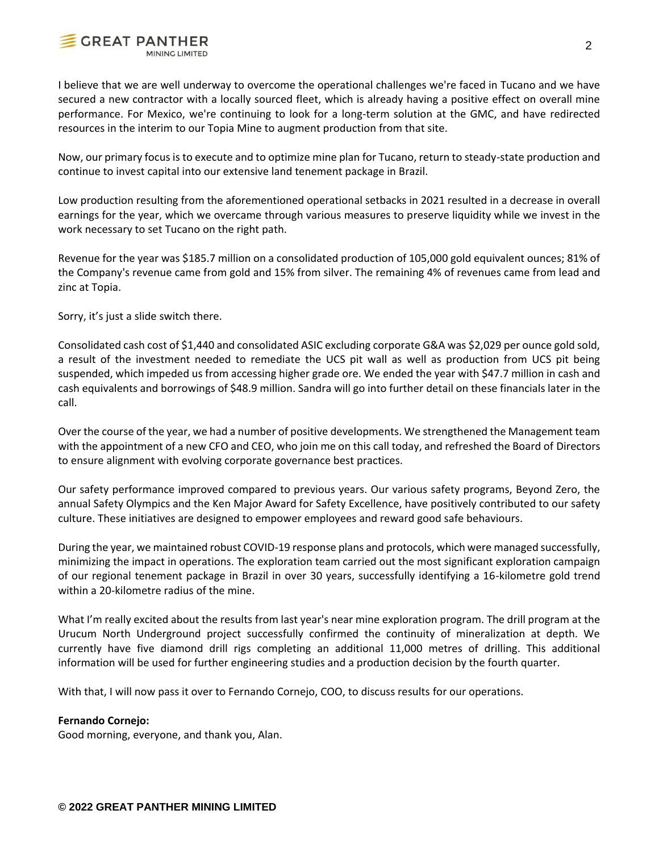

I believe that we are well underway to overcome the operational challenges we're faced in Tucano and we have secured a new contractor with a locally sourced fleet, which is already having a positive effect on overall mine performance. For Mexico, we're continuing to look for a long-term solution at the GMC, and have redirected resources in the interim to our Topia Mine to augment production from that site.

Now, our primary focus is to execute and to optimize mine plan for Tucano, return to steady-state production and continue to invest capital into our extensive land tenement package in Brazil.

Low production resulting from the aforementioned operational setbacks in 2021 resulted in a decrease in overall earnings for the year, which we overcame through various measures to preserve liquidity while we invest in the work necessary to set Tucano on the right path.

Revenue for the year was \$185.7 million on a consolidated production of 105,000 gold equivalent ounces; 81% of the Company's revenue came from gold and 15% from silver. The remaining 4% of revenues came from lead and zinc at Topia.

Sorry, it's just a slide switch there.

Consolidated cash cost of \$1,440 and consolidated ASIC excluding corporate G&A was \$2,029 per ounce gold sold, a result of the investment needed to remediate the UCS pit wall as well as production from UCS pit being suspended, which impeded us from accessing higher grade ore. We ended the year with \$47.7 million in cash and cash equivalents and borrowings of \$48.9 million. Sandra will go into further detail on these financials later in the call.

Over the course of the year, we had a number of positive developments. We strengthened the Management team with the appointment of a new CFO and CEO, who join me on this call today, and refreshed the Board of Directors to ensure alignment with evolving corporate governance best practices.

Our safety performance improved compared to previous years. Our various safety programs, Beyond Zero, the annual Safety Olympics and the Ken Major Award for Safety Excellence, have positively contributed to our safety culture. These initiatives are designed to empower employees and reward good safe behaviours.

During the year, we maintained robust COVID-19 response plans and protocols, which were managed successfully, minimizing the impact in operations. The exploration team carried out the most significant exploration campaign of our regional tenement package in Brazil in over 30 years, successfully identifying a 16-kilometre gold trend within a 20-kilometre radius of the mine.

What I'm really excited about the results from last year's near mine exploration program. The drill program at the Urucum North Underground project successfully confirmed the continuity of mineralization at depth. We currently have five diamond drill rigs completing an additional 11,000 metres of drilling. This additional information will be used for further engineering studies and a production decision by the fourth quarter.

With that, I will now pass it over to Fernando Cornejo, COO, to discuss results for our operations.

# **Fernando Cornejo:**

Good morning, everyone, and thank you, Alan.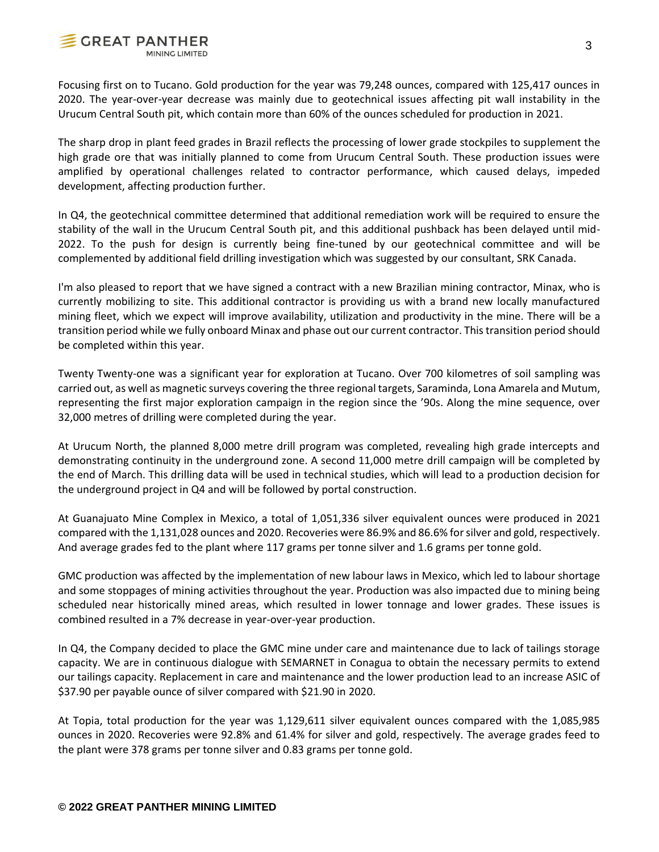

Focusing first on to Tucano. Gold production for the year was 79,248 ounces, compared with 125,417 ounces in 2020. The year-over-year decrease was mainly due to geotechnical issues affecting pit wall instability in the Urucum Central South pit, which contain more than 60% of the ounces scheduled for production in 2021.

The sharp drop in plant feed grades in Brazil reflects the processing of lower grade stockpiles to supplement the high grade ore that was initially planned to come from Urucum Central South. These production issues were amplified by operational challenges related to contractor performance, which caused delays, impeded development, affecting production further.

In Q4, the geotechnical committee determined that additional remediation work will be required to ensure the stability of the wall in the Urucum Central South pit, and this additional pushback has been delayed until mid-2022. To the push for design is currently being fine-tuned by our geotechnical committee and will be complemented by additional field drilling investigation which was suggested by our consultant, SRK Canada.

I'm also pleased to report that we have signed a contract with a new Brazilian mining contractor, Minax, who is currently mobilizing to site. This additional contractor is providing us with a brand new locally manufactured mining fleet, which we expect will improve availability, utilization and productivity in the mine. There will be a transition period while we fully onboard Minax and phase out our current contractor. This transition period should be completed within this year.

Twenty Twenty-one was a significant year for exploration at Tucano. Over 700 kilometres of soil sampling was carried out, as well as magnetic surveys covering the three regional targets, Saraminda, Lona Amarela and Mutum, representing the first major exploration campaign in the region since the '90s. Along the mine sequence, over 32,000 metres of drilling were completed during the year.

At Urucum North, the planned 8,000 metre drill program was completed, revealing high grade intercepts and demonstrating continuity in the underground zone. A second 11,000 metre drill campaign will be completed by the end of March. This drilling data will be used in technical studies, which will lead to a production decision for the underground project in Q4 and will be followed by portal construction.

At Guanajuato Mine Complex in Mexico, a total of 1,051,336 silver equivalent ounces were produced in 2021 compared with the 1,131,028 ounces and 2020. Recoveries were 86.9% and 86.6% for silver and gold, respectively. And average grades fed to the plant where 117 grams per tonne silver and 1.6 grams per tonne gold.

GMC production was affected by the implementation of new labour laws in Mexico, which led to labour shortage and some stoppages of mining activities throughout the year. Production was also impacted due to mining being scheduled near historically mined areas, which resulted in lower tonnage and lower grades. These issues is combined resulted in a 7% decrease in year-over-year production.

In Q4, the Company decided to place the GMC mine under care and maintenance due to lack of tailings storage capacity. We are in continuous dialogue with SEMARNET in Conagua to obtain the necessary permits to extend our tailings capacity. Replacement in care and maintenance and the lower production lead to an increase ASIC of \$37.90 per payable ounce of silver compared with \$21.90 in 2020.

At Topia, total production for the year was 1,129,611 silver equivalent ounces compared with the 1,085,985 ounces in 2020. Recoveries were 92.8% and 61.4% for silver and gold, respectively. The average grades feed to the plant were 378 grams per tonne silver and 0.83 grams per tonne gold.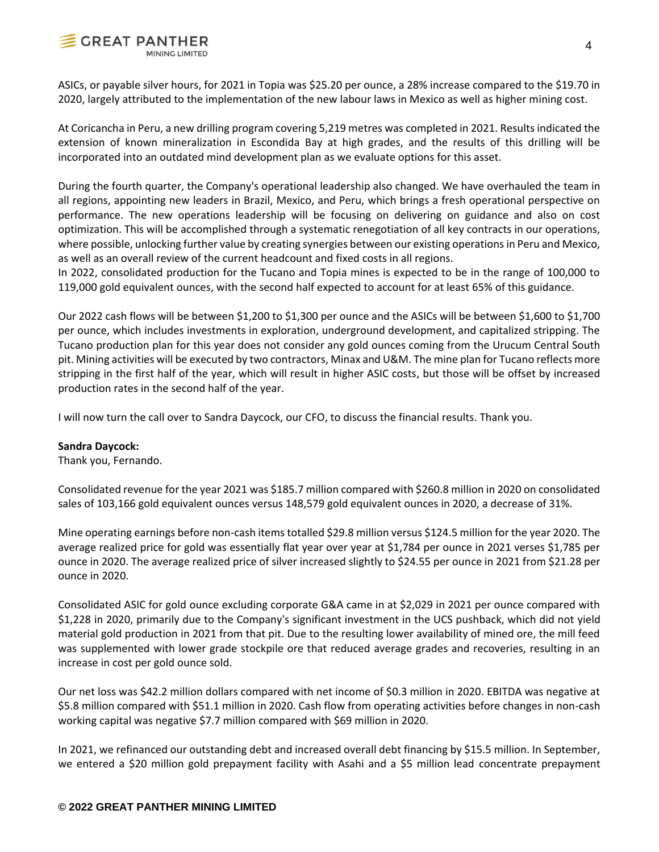

ASICs, or payable silver hours, for 2021 in Topia was \$25.20 per ounce, a 28% increase compared to the \$19.70 in 2020, largely attributed to the implementation of the new labour laws in Mexico as well as higher mining cost.

At Coricancha in Peru, a new drilling program covering 5,219 metres was completed in 2021. Results indicated the extension of known mineralization in Escondida Bay at high grades, and the results of this drilling will be incorporated into an outdated mind development plan as we evaluate options for this asset.

During the fourth quarter, the Company's operational leadership also changed. We have overhauled the team in all regions, appointing new leaders in Brazil, Mexico, and Peru, which brings a fresh operational perspective on performance. The new operations leadership will be focusing on delivering on guidance and also on cost optimization. This will be accomplished through a systematic renegotiation of all key contracts in our operations, where possible, unlocking further value by creating synergies between our existing operations in Peru and Mexico, as well as an overall review of the current headcount and fixed costs in all regions.

In 2022, consolidated production for the Tucano and Topia mines is expected to be in the range of 100,000 to 119,000 gold equivalent ounces, with the second half expected to account for at least 65% of this guidance.

Our 2022 cash flows will be between \$1,200 to \$1,300 per ounce and the ASICs will be between \$1,600 to \$1,700 per ounce, which includes investments in exploration, underground development, and capitalized stripping. The Tucano production plan for this year does not consider any gold ounces coming from the Urucum Central South pit. Mining activities will be executed by two contractors, Minax and U&M. The mine plan for Tucano reflects more stripping in the first half of the year, which will result in higher ASIC costs, but those will be offset by increased production rates in the second half of the year.

I will now turn the call over to Sandra Daycock, our CFO, to discuss the financial results. Thank you.

# **Sandra Daycock:**

Thank you, Fernando.

Consolidated revenue for the year 2021 was \$185.7 million compared with \$260.8 million in 2020 on consolidated sales of 103,166 gold equivalent ounces versus 148,579 gold equivalent ounces in 2020, a decrease of 31%.

Mine operating earnings before non-cash items totalled \$29.8 million versus \$124.5 million for the year 2020. The average realized price for gold was essentially flat year over year at \$1,784 per ounce in 2021 verses \$1,785 per ounce in 2020. The average realized price of silver increased slightly to \$24.55 per ounce in 2021 from \$21.28 per ounce in 2020.

Consolidated ASIC for gold ounce excluding corporate G&A came in at \$2,029 in 2021 per ounce compared with \$1,228 in 2020, primarily due to the Company's significant investment in the UCS pushback, which did not yield material gold production in 2021 from that pit. Due to the resulting lower availability of mined ore, the mill feed was supplemented with lower grade stockpile ore that reduced average grades and recoveries, resulting in an increase in cost per gold ounce sold.

Our net loss was \$42.2 million dollars compared with net income of \$0.3 million in 2020. EBITDA was negative at \$5.8 million compared with \$51.1 million in 2020. Cash flow from operating activities before changes in non-cash working capital was negative \$7.7 million compared with \$69 million in 2020.

In 2021, we refinanced our outstanding debt and increased overall debt financing by \$15.5 million. In September, we entered a \$20 million gold prepayment facility with Asahi and a \$5 million lead concentrate prepayment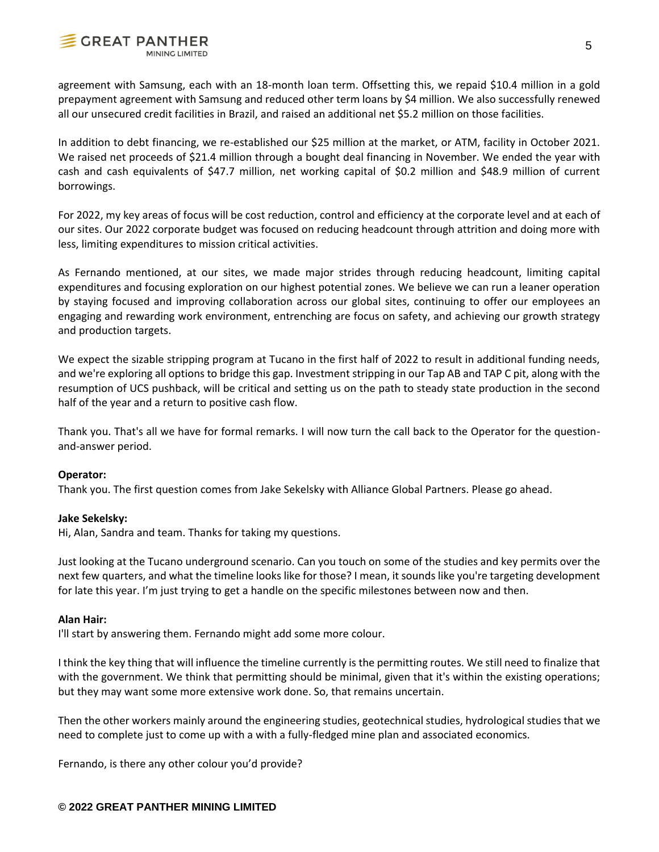

agreement with Samsung, each with an 18-month loan term. Offsetting this, we repaid \$10.4 million in a gold prepayment agreement with Samsung and reduced other term loans by \$4 million. We also successfully renewed all our unsecured credit facilities in Brazil, and raised an additional net \$5.2 million on those facilities.

In addition to debt financing, we re-established our \$25 million at the market, or ATM, facility in October 2021. We raised net proceeds of \$21.4 million through a bought deal financing in November. We ended the year with cash and cash equivalents of \$47.7 million, net working capital of \$0.2 million and \$48.9 million of current borrowings.

For 2022, my key areas of focus will be cost reduction, control and efficiency at the corporate level and at each of our sites. Our 2022 corporate budget was focused on reducing headcount through attrition and doing more with less, limiting expenditures to mission critical activities.

As Fernando mentioned, at our sites, we made major strides through reducing headcount, limiting capital expenditures and focusing exploration on our highest potential zones. We believe we can run a leaner operation by staying focused and improving collaboration across our global sites, continuing to offer our employees an engaging and rewarding work environment, entrenching are focus on safety, and achieving our growth strategy and production targets.

We expect the sizable stripping program at Tucano in the first half of 2022 to result in additional funding needs, and we're exploring all options to bridge this gap. Investment stripping in our Tap AB and TAP C pit, along with the resumption of UCS pushback, will be critical and setting us on the path to steady state production in the second half of the year and a return to positive cash flow.

Thank you. That's all we have for formal remarks. I will now turn the call back to the Operator for the questionand-answer period.

# **Operator:**

Thank you. The first question comes from Jake Sekelsky with Alliance Global Partners. Please go ahead.

# **Jake Sekelsky:**

Hi, Alan, Sandra and team. Thanks for taking my questions.

Just looking at the Tucano underground scenario. Can you touch on some of the studies and key permits over the next few quarters, and what the timeline looks like for those? I mean, it sounds like you're targeting development for late this year. I'm just trying to get a handle on the specific milestones between now and then.

# **Alan Hair:**

I'll start by answering them. Fernando might add some more colour.

I think the key thing that will influence the timeline currently is the permitting routes. We still need to finalize that with the government. We think that permitting should be minimal, given that it's within the existing operations; but they may want some more extensive work done. So, that remains uncertain.

Then the other workers mainly around the engineering studies, geotechnical studies, hydrological studies that we need to complete just to come up with a with a fully-fledged mine plan and associated economics.

Fernando, is there any other colour you'd provide?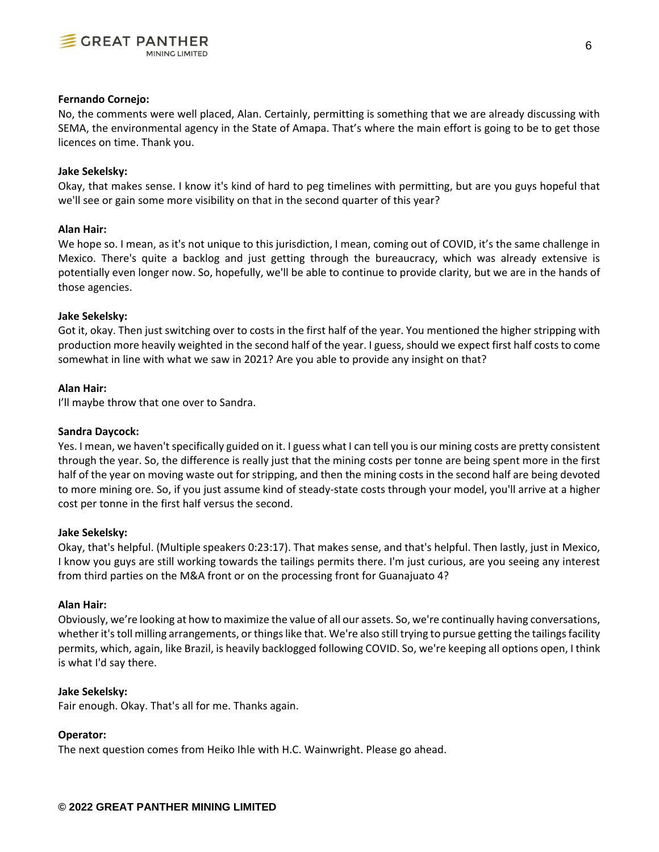

## **Fernando Cornejo:**

No, the comments were well placed, Alan. Certainly, permitting is something that we are already discussing with SEMA, the environmental agency in the State of Amapa. That's where the main effort is going to be to get those licences on time. Thank you.

# **Jake Sekelsky:**

Okay, that makes sense. I know it's kind of hard to peg timelines with permitting, but are you guys hopeful that we'll see or gain some more visibility on that in the second quarter of this year?

## **Alan Hair:**

We hope so. I mean, as it's not unique to this jurisdiction, I mean, coming out of COVID, it's the same challenge in Mexico. There's quite a backlog and just getting through the bureaucracy, which was already extensive is potentially even longer now. So, hopefully, we'll be able to continue to provide clarity, but we are in the hands of those agencies.

## **Jake Sekelsky:**

Got it, okay. Then just switching over to costs in the first half of the year. You mentioned the higher stripping with production more heavily weighted in the second half of the year. I guess, should we expect first half costs to come somewhat in line with what we saw in 2021? Are you able to provide any insight on that?

#### **Alan Hair:**

I'll maybe throw that one over to Sandra.

#### **Sandra Daycock:**

Yes. I mean, we haven't specifically guided on it. I guess what I can tell you is our mining costs are pretty consistent through the year. So, the difference is really just that the mining costs per tonne are being spent more in the first half of the year on moving waste out for stripping, and then the mining costs in the second half are being devoted to more mining ore. So, if you just assume kind of steady-state costs through your model, you'll arrive at a higher cost per tonne in the first half versus the second.

#### **Jake Sekelsky:**

Okay, that's helpful. (Multiple speakers 0:23:17). That makes sense, and that's helpful. Then lastly, just in Mexico, I know you guys are still working towards the tailings permits there. I'm just curious, are you seeing any interest from third parties on the M&A front or on the processing front for Guanajuato 4?

#### **Alan Hair:**

Obviously, we're looking at how to maximize the value of all our assets. So, we're continually having conversations, whether it's toll milling arrangements, or things like that. We're also still trying to pursue getting the tailings facility permits, which, again, like Brazil, is heavily backlogged following COVID. So, we're keeping all options open, I think is what I'd say there.

#### **Jake Sekelsky:**

Fair enough. Okay. That's all for me. Thanks again.

# **Operator:**

The next question comes from Heiko Ihle with H.C. Wainwright. Please go ahead.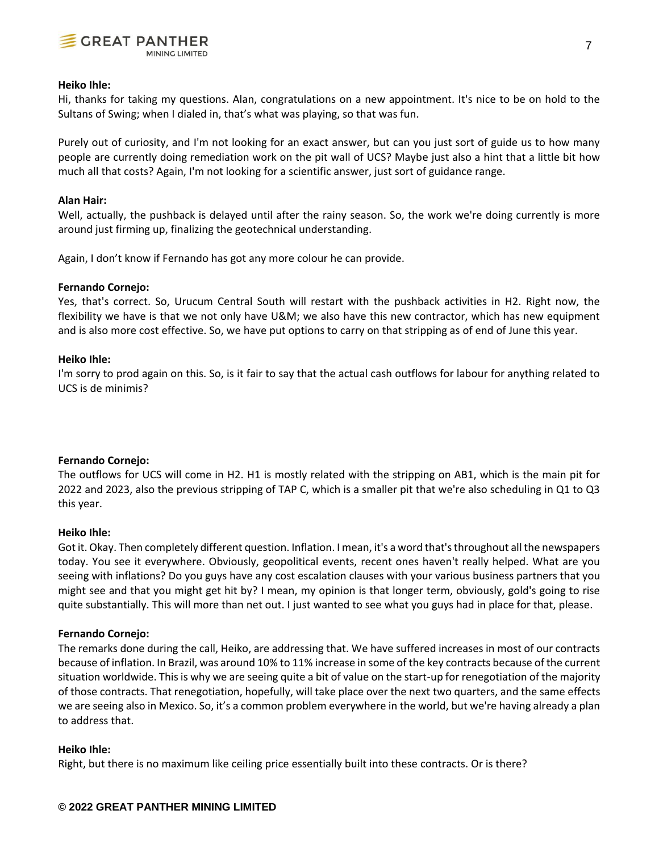

## **Heiko Ihle:**

Hi, thanks for taking my questions. Alan, congratulations on a new appointment. It's nice to be on hold to the Sultans of Swing; when I dialed in, that's what was playing, so that was fun.

Purely out of curiosity, and I'm not looking for an exact answer, but can you just sort of guide us to how many people are currently doing remediation work on the pit wall of UCS? Maybe just also a hint that a little bit how much all that costs? Again, I'm not looking for a scientific answer, just sort of guidance range.

## **Alan Hair:**

Well, actually, the pushback is delayed until after the rainy season. So, the work we're doing currently is more around just firming up, finalizing the geotechnical understanding.

Again, I don't know if Fernando has got any more colour he can provide.

# **Fernando Cornejo:**

Yes, that's correct. So, Urucum Central South will restart with the pushback activities in H2. Right now, the flexibility we have is that we not only have U&M; we also have this new contractor, which has new equipment and is also more cost effective. So, we have put options to carry on that stripping as of end of June this year.

## **Heiko Ihle:**

I'm sorry to prod again on this. So, is it fair to say that the actual cash outflows for labour for anything related to UCS is de minimis?

# **Fernando Cornejo:**

The outflows for UCS will come in H2. H1 is mostly related with the stripping on AB1, which is the main pit for 2022 and 2023, also the previous stripping of TAP C, which is a smaller pit that we're also scheduling in Q1 to Q3 this year.

### **Heiko Ihle:**

Got it. Okay. Then completely different question. Inflation. I mean, it's a word that's throughout all the newspapers today. You see it everywhere. Obviously, geopolitical events, recent ones haven't really helped. What are you seeing with inflations? Do you guys have any cost escalation clauses with your various business partners that you might see and that you might get hit by? I mean, my opinion is that longer term, obviously, gold's going to rise quite substantially. This will more than net out. I just wanted to see what you guys had in place for that, please.

#### **Fernando Cornejo:**

The remarks done during the call, Heiko, are addressing that. We have suffered increases in most of our contracts because of inflation. In Brazil, was around 10% to 11% increase in some of the key contracts because of the current situation worldwide. This is why we are seeing quite a bit of value on the start-up for renegotiation of the majority of those contracts. That renegotiation, hopefully, will take place over the next two quarters, and the same effects we are seeing also in Mexico. So, it's a common problem everywhere in the world, but we're having already a plan to address that.

#### **Heiko Ihle:**

Right, but there is no maximum like ceiling price essentially built into these contracts. Or is there?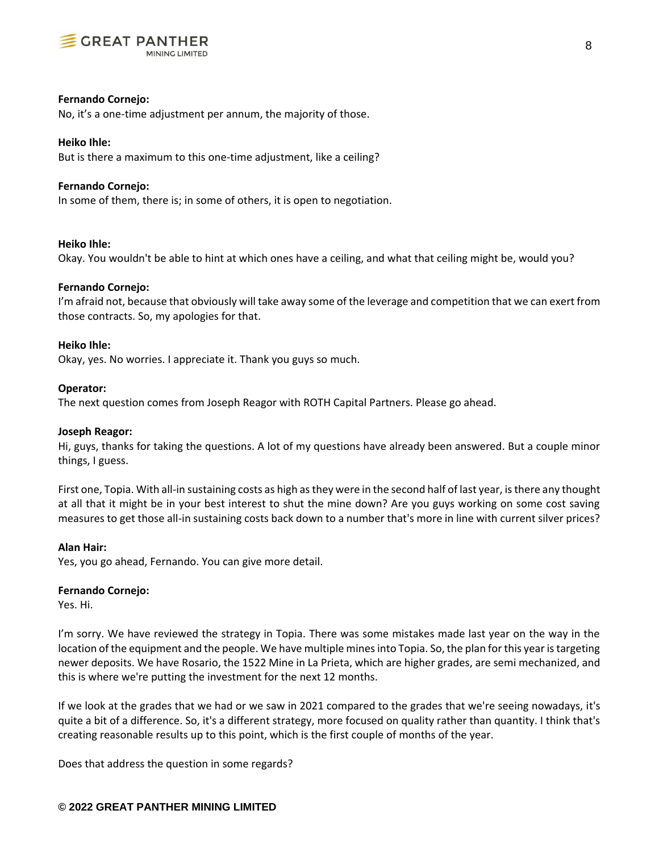

# **Fernando Cornejo:**

No, it's a one-time adjustment per annum, the majority of those.

## **Heiko Ihle:**

But is there a maximum to this one-time adjustment, like a ceiling?

### **Fernando Cornejo:**

In some of them, there is; in some of others, it is open to negotiation.

#### **Heiko Ihle:**

Okay. You wouldn't be able to hint at which ones have a ceiling, and what that ceiling might be, would you?

## **Fernando Cornejo:**

I'm afraid not, because that obviously will take away some of the leverage and competition that we can exert from those contracts. So, my apologies for that.

# **Heiko Ihle:**

Okay, yes. No worries. I appreciate it. Thank you guys so much.

## **Operator:**

The next question comes from Joseph Reagor with ROTH Capital Partners. Please go ahead.

#### **Joseph Reagor:**

Hi, guys, thanks for taking the questions. A lot of my questions have already been answered. But a couple minor things, I guess.

First one, Topia. With all-in sustaining costs as high as they were in the second half of last year, is there any thought at all that it might be in your best interest to shut the mine down? Are you guys working on some cost saving measures to get those all-in sustaining costs back down to a number that's more in line with current silver prices?

# **Alan Hair:**

Yes, you go ahead, Fernando. You can give more detail.

## **Fernando Cornejo:**

Yes. Hi.

I'm sorry. We have reviewed the strategy in Topia. There was some mistakes made last year on the way in the location of the equipment and the people. We have multiple mines into Topia. So, the plan for this year is targeting newer deposits. We have Rosario, the 1522 Mine in La Prieta, which are higher grades, are semi mechanized, and this is where we're putting the investment for the next 12 months.

If we look at the grades that we had or we saw in 2021 compared to the grades that we're seeing nowadays, it's quite a bit of a difference. So, it's a different strategy, more focused on quality rather than quantity. I think that's creating reasonable results up to this point, which is the first couple of months of the year.

Does that address the question in some regards?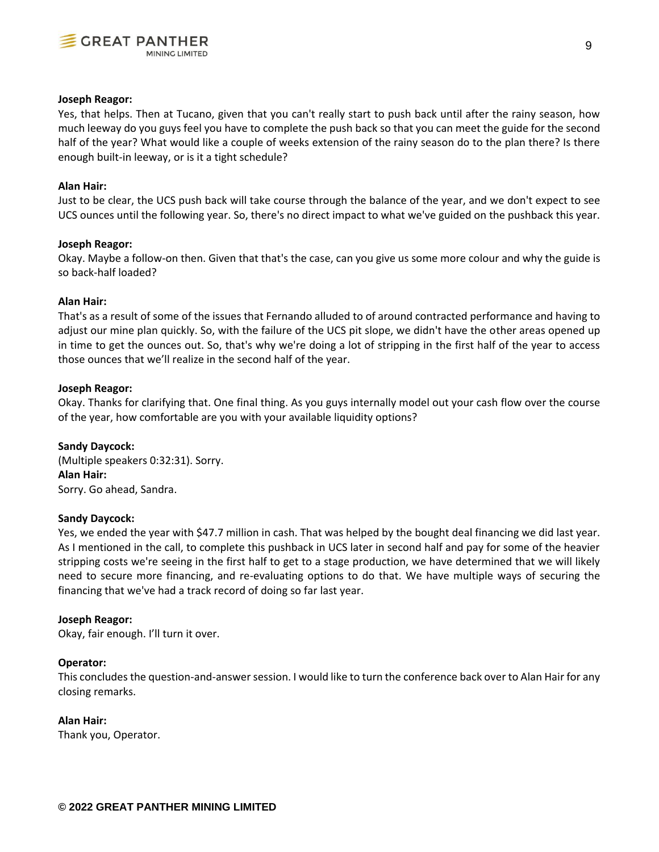

## **Joseph Reagor:**

Yes, that helps. Then at Tucano, given that you can't really start to push back until after the rainy season, how much leeway do you guys feel you have to complete the push back so that you can meet the guide for the second half of the year? What would like a couple of weeks extension of the rainy season do to the plan there? Is there enough built-in leeway, or is it a tight schedule?

# **Alan Hair:**

Just to be clear, the UCS push back will take course through the balance of the year, and we don't expect to see UCS ounces until the following year. So, there's no direct impact to what we've guided on the pushback this year.

## **Joseph Reagor:**

Okay. Maybe a follow-on then. Given that that's the case, can you give us some more colour and why the guide is so back-half loaded?

## **Alan Hair:**

That's as a result of some of the issues that Fernando alluded to of around contracted performance and having to adjust our mine plan quickly. So, with the failure of the UCS pit slope, we didn't have the other areas opened up in time to get the ounces out. So, that's why we're doing a lot of stripping in the first half of the year to access those ounces that we'll realize in the second half of the year.

## **Joseph Reagor:**

Okay. Thanks for clarifying that. One final thing. As you guys internally model out your cash flow over the course of the year, how comfortable are you with your available liquidity options?

# **Sandy Daycock:**

(Multiple speakers 0:32:31). Sorry. **Alan Hair:** Sorry. Go ahead, Sandra.

# **Sandy Daycock:**

Yes, we ended the year with \$47.7 million in cash. That was helped by the bought deal financing we did last year. As I mentioned in the call, to complete this pushback in UCS later in second half and pay for some of the heavier stripping costs we're seeing in the first half to get to a stage production, we have determined that we will likely need to secure more financing, and re-evaluating options to do that. We have multiple ways of securing the financing that we've had a track record of doing so far last year.

#### **Joseph Reagor:**

Okay, fair enough. I'll turn it over.

# **Operator:**

This concludes the question-and-answer session. I would like to turn the conference back over to Alan Hair for any closing remarks.

# **Alan Hair:**

Thank you, Operator.